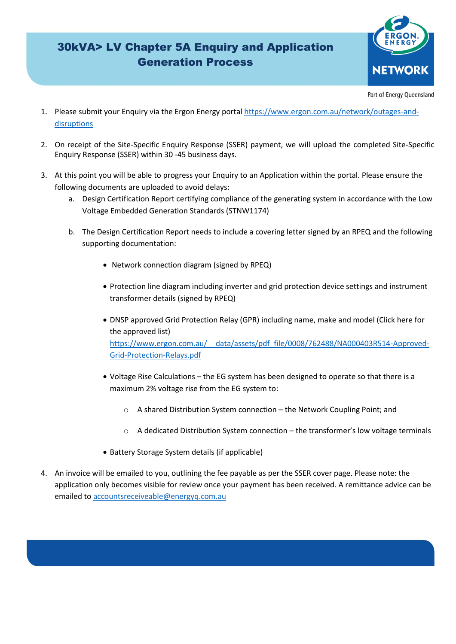

Part of Energy Queensland

- 1. Please submit your Enquiry via the Ergon Energy portal [https://www.ergon.com.au/network/outages-and](https://www.ergon.com.au/network/outages-and-disruptions)[disruptions](https://www.ergon.com.au/network/outages-and-disruptions)
- 2. On receipt of the Site-Specific Enquiry Response (SSER) payment, we will upload the completed Site-Specific Enquiry Response (SSER) within 30 -45 business days.
- 3. At this point you will be able to progress your Enquiry to an Application within the portal. Please ensure the following documents are uploaded to avoid delays:
	- a. Design Certification Report certifying compliance of the generating system in accordance with the Low Voltage Embedded Generation Standards (STNW1174)
	- b. The Design Certification Report needs to include a covering letter signed by an RPEQ and the following supporting documentation:
		- Network connection diagram (signed by RPEQ)
		- Protection line diagram including inverter and grid protection device settings and instrument transformer details (signed by RPEQ)
		- DNSP approved Grid Protection Relay (GPR) including name, make and model (Click here for the approved list) [https://www.ergon.com.au/\\_\\_data/assets/pdf\\_file/0008/762488/NA000403R514-Approved-](https://www.ergon.com.au/__data/assets/pdf_file/0008/762488/NA000403R514-Approved-Grid-Protection-Relays.pdf)[Grid-Protection-Relays.pdf](https://www.ergon.com.au/__data/assets/pdf_file/0008/762488/NA000403R514-Approved-Grid-Protection-Relays.pdf)
		- Voltage Rise Calculations the EG system has been designed to operate so that there is a maximum 2% voltage rise from the EG system to:
			- o A shared Distribution System connection the Network Coupling Point; and
			- $\circ$  A dedicated Distribution System connection the transformer's low voltage terminals
		- Battery Storage System details (if applicable)
- 4. An invoice will be emailed to you, outlining the fee payable as per the SSER cover page. Please note: the application only becomes visible for review once your payment has been received. A remittance advice can be emailed t[o accountsreceiveable@energyq.com.au](mailto:accountsreceiveable@energyq.com.au)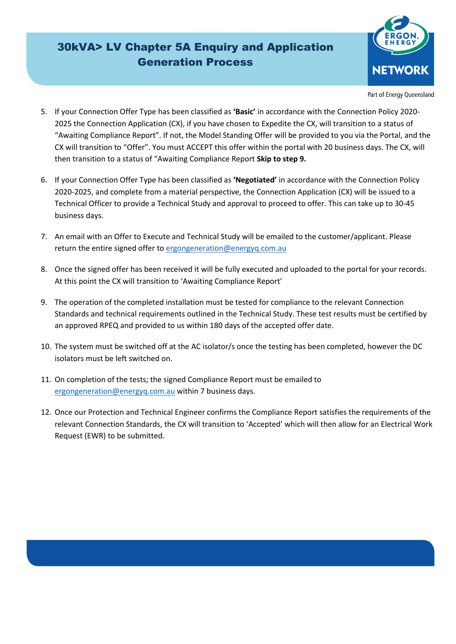

Part of Energy Queensland

- 5. If your Connection Offer Type has been classified as **'Basic'** in accordance with the Connection Policy 2020- 2025 the Connection Application (CX), if you have chosen to Expedite the CX, will transition to a status of "Awaiting Compliance Report". If not, the Model Standing Offer will be provided to you via the Portal, and the CX will transition to "Offer". You must ACCEPT this offer within the portal with 20 business days. The CX, will then transition to a status of "Awaiting Compliance Report **Skip to step 9.**
- 6. If your Connection Offer Type has been classified as **'Negotiated'** in accordance with the Connection Policy 2020-2025, and complete from a material perspective, the Connection Application (CX) will be issued to a Technical Officer to provide a Technical Study and approval to proceed to offer. This can take up to 30-45 business days.
- 7. An email with an Offer to Execute and Technical Study will be emailed to the customer/applicant. Please return the entire signed offer to [ergongeneration@energyq.com.au](mailto:ergongeneration@energyq.com.au)
- 8. Once the signed offer has been received it will be fully executed and uploaded to the portal for your records. At this point the CX will transition to 'Awaiting Compliance Report'
- 9. The operation of the completed installation must be tested for compliance to the relevant Connection Standards and technical requirements outlined in the Technical Study. These test results must be certified by an approved RPEQ and provided to us within 180 days of the accepted offer date.
- 10. The system must be switched off at the AC isolator/s once the testing has been completed, however the DC isolators must be left switched on.
- 11. On completion of the tests; the signed Compliance Report must be emailed to [ergongeneration@energyq.com.au](mailto:ergongeneration@energyq.com.au) within 7 business days.
- 12. Once our Protection and Technical Engineer confirms the Compliance Report satisfies the requirements of the relevant Connection Standards, the CX will transition to 'Accepted' which will then allow for an Electrical Work Request (EWR) to be submitted.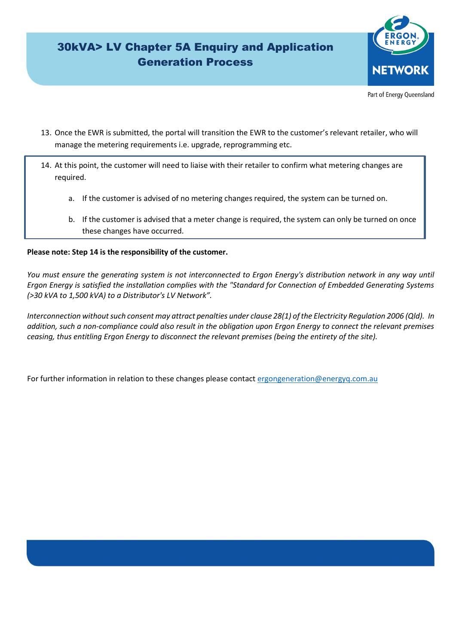

Part of Energy Queensland

- 13. Once the EWR is submitted, the portal will transition the EWR to the customer's relevant retailer, who will manage the metering requirements i.e. upgrade, reprogramming etc.
- 14. At this point, the customer will need to liaise with their retailer to confirm what metering changes are required.
	- a. If the customer is advised of no metering changes required, the system can be turned on.
	- b. If the customer is advised that a meter change is required, the system can only be turned on once these changes have occurred.

#### **Please note: Step 14 is the responsibility of the customer.**

*You must ensure the generating system is not interconnected to Ergon Energy's distribution network in any way until Ergon Energy is satisfied the installation complies with the "Standard for Connection of Embedded Generating Systems (>30 kVA to 1,500 kVA) to a Distributor's LV Network".*

*Interconnection without such consent may attract penalties under clause 28(1) of the Electricity Regulation 2006 (Qld). In addition, such a non-compliance could also result in the obligation upon Ergon Energy to connect the relevant premises ceasing, thus entitling Ergon Energy to disconnect the relevant premises (being the entirety of the site).*

For further information in relation to these changes please contact [ergongeneration@energyq.com.au](mailto:ergongeneration@energyq.com.au)